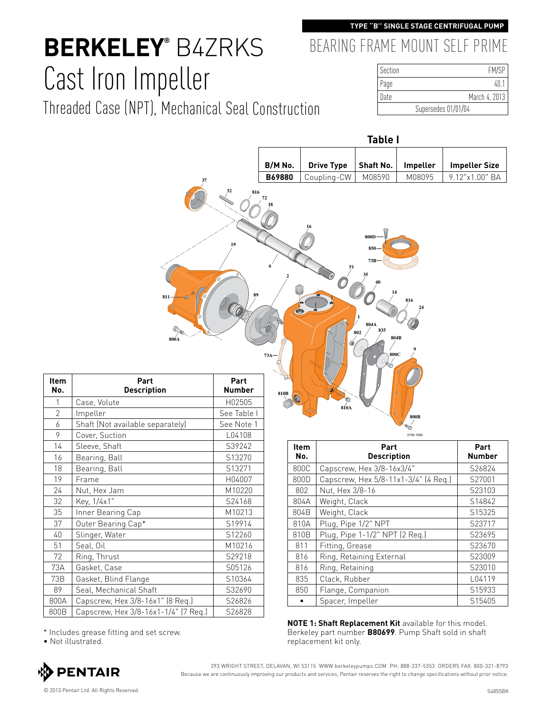### **TYPE ''B'' SINGLE STAGE CENTRIFUGAL PUMP**

BEARING FRAME MOUNT SELF PRIME

# **Berkeley®** B4ZRKS Cast Iron Impeller

Threaded Case (NPT), Mechanical Seal Construction

| Section | FM/SP               |
|---------|---------------------|
| Page    | 40.7                |
| Date    | March 4, 2013       |
|         | Supersedes 01/01/04 |



| <b>Item</b><br>No. | Part<br><b>Description</b>           | Part<br><b>Number</b> |
|--------------------|--------------------------------------|-----------------------|
| 1                  | Case, Volute                         | H02505                |
| $\overline{2}$     | Impeller                             | See Table I           |
| 6                  | Shaft (Not available separately)     | See Note 1            |
| 9                  | Cover, Suction                       | L04108                |
| 14                 | Sleeve, Shaft                        | S39242                |
| 16                 | Bearing, Ball                        | S13270                |
| 18                 | Bearing, Ball                        | S13271                |
| 19                 | Frame                                | H04007                |
| 24                 | Nut, Hex Jam                         | M10220                |
| 32                 | Key, 1/4x1"                          | S24168                |
| 35                 | Inner Bearing Cap                    | M10213                |
| 37                 | Outer Bearing Cap*                   | S19914                |
| 40                 | Slinger, Water                       | S12260                |
| 51                 | Seal, Oil                            | M10216                |
| 72                 | Ring, Thrust                         | S29218                |
| 73A                | Gasket, Case                         | S05126                |
| 73B                | Gasket, Blind Flange                 | S10364                |
| 89                 | Seal, Mechanical Shaft               | S32690                |
| 800A               | Capscrew, Hex 3/8-16x1" (8 Req.)     | S26826                |
| 800B               | Capscrew, Hex 3/8-16x1-1/4" (7 Req.) | S26828                |

|  | 800A   Capscrew, Hex 3/8-16x1" (8 Req.)     | S <sub>26826</sub> |             |
|--|---------------------------------------------|--------------------|-------------|
|  | 800B   Capscrew, Hex 3/8-16x1-1/4" (7 Reg.) | S26828             |             |
|  |                                             |                    | <b>NOTE</b> |
|  | * Includes grease fitting and set screw.    |                    | Berke       |

• Not illustrated.



293 WRIGHT STREET, DELAVAN, WI 53115 WWW.berkeleypumps.COM PH: 888-237-5353 ORDERS FAX: 800-321-8793 Because we are continuously improving our products and services, Pentair reserves the right to change specifications without prior notice.

| Item<br>No. | Part<br><b>Description</b>           | Part<br><b>Number</b> |
|-------------|--------------------------------------|-----------------------|
| 800C        | Capscrew, Hex 3/8-16x3/4"            | S26824                |
| 800D        | Capscrew, Hex 5/8-11x1-3/4" (4 Req.) | S27001                |
| 802         | Nut, Hex 3/8-16                      | S23103                |
| 804A        | Weight, Clack                        | S14842                |
| 804B        | Weight, Clack                        | S15325                |
| 810A        | Plug, Pipe 1/2" NPT                  | S23717                |
| 810B        | Plug, Pipe 1-1/2" NPT (2 Req.)       | S23695                |
| 811         | Fitting, Grease                      | S23670                |
| 816         | Ring, Retaining External             | S23009                |
| 816         | Ring, Retaining                      | S23010                |
| 835         | Clack, Rubber                        | L04119                |
| 850         | Flange, Companion                    | S15933                |
|             | Spacer, Impeller                     | S15405                |

1: Shaft Replacement Kit available for this model. Berkeley part number **B80699**. Pump Shaft sold in shaft replacement kit only.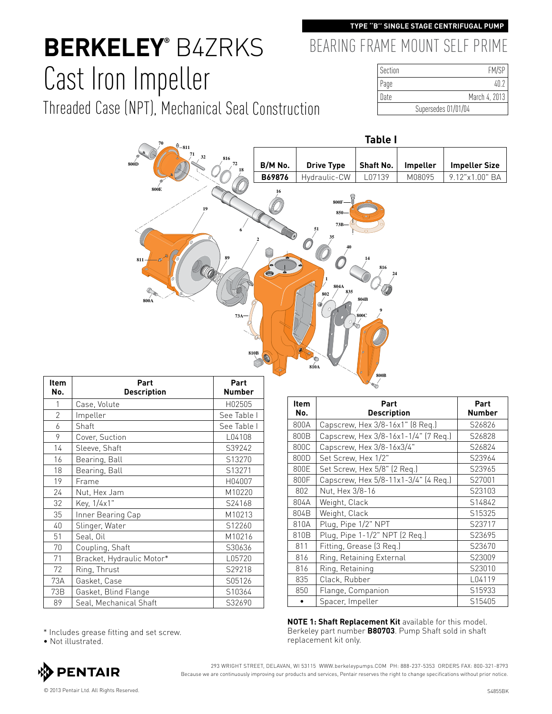#### **TYPE ''B'' SINGLE STAGE CENTRIFUGAL PUMP**

# **Berkeley®** B4ZRKS Cast Iron Impeller

Threaded Case (NPT), Mechanical Seal Construction

### BEARING FRAME MOUNT SELF PRIME

| Section | <b>FM/SP</b>        |
|---------|---------------------|
| Page    | 4N 7                |
| Date    | March 4, 2013       |
|         | Supersedes 01/01/04 |



| <b>Item</b><br>No. | Part<br><b>Description</b> | Part<br><b>Number</b> |
|--------------------|----------------------------|-----------------------|
| 1                  | Case, Volute               | H02505                |
| $\overline{2}$     | Impeller                   | See Table I           |
| 6                  | Shaft                      | See Table I           |
| 9                  | Cover, Suction             | L04108                |
| 14                 | Sleeve, Shaft              | S39242                |
| 16                 | Bearing, Ball              | S13270                |
| 18                 | Bearing, Ball              | S13271                |
| 19                 | Frame                      | H04007                |
| 24                 | Nut, Hex Jam               | M10220                |
| 32                 | Key, 1/4x1"                | S24168                |
| 35                 | Inner Bearing Cap          | M10213                |
| 40                 | Slinger, Water             | S12260                |
| 51                 | Seal, Oil                  | M10216                |
| 70                 | Coupling, Shaft            | S30636                |
| 71                 | Bracket, Hydraulic Motor*  | L05720                |
| 72                 | Ring, Thrust               | S29218                |
| 73A                | Gasket, Case               | S05126                |
| 73B                | Gasket, Blind Flange       | S10364                |
| 89                 | Seal, Mechanical Shaft     | S32690                |

| <b>Item</b><br>No. | Part<br><b>Description</b>           | Part<br><b>Number</b> |
|--------------------|--------------------------------------|-----------------------|
| 800A               | Capscrew, Hex 3/8-16x1" (8 Req.)     | S26826                |
| 800B               | Capscrew, Hex 3/8-16x1-1/4" (7 Req.) | S26828                |
| 800C               | Capscrew, Hex 3/8-16x3/4"            | S26824                |
| 800D               | Set Screw, Hex 1/2"                  | S23964                |
| 800E               | Set Screw, Hex 5/8" (2 Req.)         | S23965                |
| 800F               | Capscrew, Hex 5/8-11x1-3/4" (4 Req.) | S27001                |
| 802                | Nut, Hex 3/8-16                      | S23103                |
| 804A               | Weight, Clack                        | S14842                |
| 804B               | Weight, Clack                        | S15325                |
| 810A               | Plug, Pipe 1/2" NPT                  | S23717                |
| 810B               | Plug, Pipe 1-1/2" NPT (2 Reg.)       | S23695                |
| 811                | Fitting, Grease (3 Req.)             | S23670                |
| 816                | Ring, Retaining External             | S23009                |
| 816                | Ring, Retaining                      | S23010                |
| 835                | Clack, Rubber                        | L04119                |
| 850                | Flange, Companion                    | S15933                |
|                    | Spacer, Impeller                     | S15405                |

**NOTE 1: Shaft Replacement Kit** available for this model. Berkeley part number **B80703**. Pump Shaft sold in shaft

replacement kit only. \* Includes grease fitting and set screw.

• Not illustrated.



293 WRIGHT STREET, DELAVAN, WI 53115 WWW.berkeleypumps.COM PH: 888-237-5353 ORDERS FAX: 800-321-8793 Because we are continuously improving our products and services, Pentair reserves the right to change specifications without prior notice.